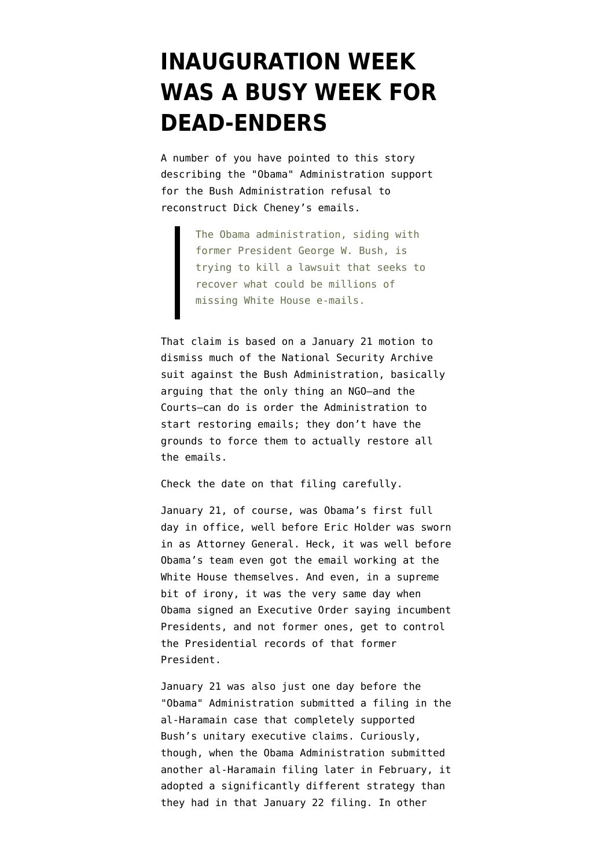## **[INAUGURATION WEEK](https://www.emptywheel.net/2009/02/23/inauguration-week-was-a-busy-week-for-dead-enders/) [WAS A BUSY WEEK FOR](https://www.emptywheel.net/2009/02/23/inauguration-week-was-a-busy-week-for-dead-enders/) [DEAD-ENDERS](https://www.emptywheel.net/2009/02/23/inauguration-week-was-a-busy-week-for-dead-enders/)**

A number of you have pointed to [this story](http://hosted.ap.org/dynamic/stories/W/WHITE_HOUSE_E_MAIL?SITE=AP&SECTION=HOME&TEMPLATE=DEFAULT) describing the "Obama" Administration support for the Bush Administration refusal to reconstruct Dick Cheney's emails.

> The Obama administration, siding with former President George W. Bush, is trying to kill a lawsuit that seeks to recover what could be millions of missing White House e-mails.

That claim is based on a [January 21 motion to](http://emptywheel.firedoglake.com/files/28/files//2009/02/090121-motion-to-dismiss.pdf) [dismiss](http://emptywheel.firedoglake.com/files/28/files//2009/02/090121-motion-to-dismiss.pdf) much of the National Security Archive suit against the Bush Administration, basically arguing that the only thing an NGO–and the Courts–can do is order the Administration to start restoring emails; they don't have the grounds to force them to actually restore all the emails.

Check the date on that filing carefully.

January 21, of course, was Obama's first full day in office, well before Eric Holder was sworn in as Attorney General. Heck, it was well before Obama's team even got the email working at the White House themselves. And even, in a supreme bit of irony, it was the very same day when Obama [signed an Executive Order](http://www.whitehouse.gov/the_press_office/ExecutiveOrderPresidentialRecords/) saying incumbent Presidents, and not former ones, get to control the Presidential records of that former President.

January 21 was also just one day before the "Obama" Administration [submitted a filing](http://emptywheel.firedoglake.com/2009/01/24/al-haramain-the-dead-enders-misrepresent-their-appeal-to-dismiss-the-need-to-wait-for-obama/) in the al-Haramain case that completely supported Bush's unitary executive claims. Curiously, though, when the Obama Administration submitted another al-Haramain filing later in February, it [adopted a significantly different strategy](http://emptywheel.firedoglake.com/2009/02/13/obama-again-supports-bushs-bogus-stance-on-al-haramain-but-partly-punts-on-state-secrets/) than they had in that January 22 filing. In other